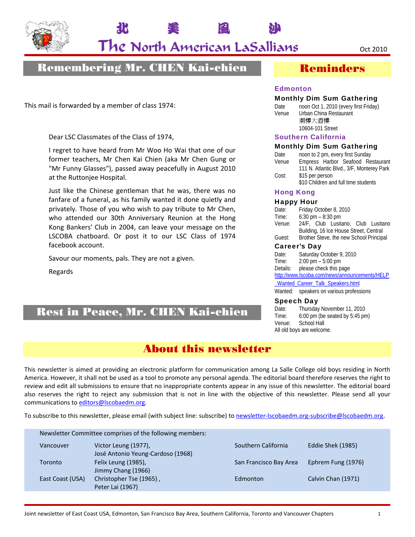

The North American LaSallians oct 2010

北 美 風 沙

# Remembering Mr. CHEN Kai-chien

This mail is forwarded by a member of class 1974:

Dear LSC Classmates of the Class of 1974,

I regret to have heard from Mr Woo Ho Wai that one of our former teachers, Mr Chen Kai Chien (aka Mr Chen Gung or "Mr Funny Glasses"), passed away peacefully in August 2010 at the Ruttonjee Hospital.

Just like the Chinese gentleman that he was, there was no fanfare of a funeral, as his family wanted it done quietly and privately. Those of you who wish to pay tribute to Mr Chen, who attended our 30th Anniversary Reunion at the Hong Kong Bankers' Club in 2004, can leave your message on the LSCOBA chatboard. Or post it to our LSC Class of 1974 facebook account.

Savour our moments, pals. They are not a given.

Regards

# Rest in Peace, Mr. CHEN Kai-chien

## Reminders

#### Edmonton

#### Monthly Dim Sum Gathering

Date noon Oct 1, 2010 (every first Friday) Venue Urban China Restaurant 潮樓大酒樓 10604-101 Street

#### Southern California

#### Monthly Dim Sum Gathering

| Date  | noon to 2 pm, every first Sunday          |  |  |  |  |  |  |
|-------|-------------------------------------------|--|--|--|--|--|--|
| Venue | Empress Harbor Seafood Restaurant         |  |  |  |  |  |  |
|       | 111 N. Atlantic Blvd., 3/F, Monterey Park |  |  |  |  |  |  |
| Cost: | \$15 per person                           |  |  |  |  |  |  |
|       | \$10 Children and full time students      |  |  |  |  |  |  |

#### Hong Kong

#### Happy Hour

| Date:                                  | Friday October 8, 2010                  |  |  |  |  |  |  |
|----------------------------------------|-----------------------------------------|--|--|--|--|--|--|
| Time:                                  | $6:30 \text{ pm} - 8:30 \text{ pm}$     |  |  |  |  |  |  |
| Venue:                                 | 24/F, Club Lusitano, Club Lusitano      |  |  |  |  |  |  |
| Building, 16 Ice House Street, Central |                                         |  |  |  |  |  |  |
| Guest:                                 | Brother Steve, the new School Principal |  |  |  |  |  |  |

#### Career's Day

Date: Saturday October 9, 2010 Time: 2:00 pm – 5:00 pm Details: please check this page http://www.lscoba.com/news/announcements/HELP

\_Wanted\_Career\_Talk\_Speakers.html

Wanted: speakers on various professions

#### Speech Day

Date: Thursday November 11, 2010 Time: 6:00 pm (be seated by 5:45 pm) Venue: School Hall All old boys are welcome.

# About this newsletter

This newsletter is aimed at providing an electronic platform for communication among La Salle College old boys residing in North America. However, it shall not be used as a tool to promote any personal agenda. The editorial board therefore reserves the right to review and edit all submissions to ensure that no inappropriate contents appear in any issue of this newsletter. The editorial board also reserves the right to reject any submission that is not in line with the objective of this newsletter. Please send all your communications to editors@lscobaedm.org.

To subscribe to this newsletter, please email (with subject line: subscribe) to newsletter-lscobaedm.org-subscribe@lscobaedm.org.

Newsletter Committee comprises of the following members: Vancouver Victor Leung (1977), Southern California Eddie Shek (1985) José Antonio Yeung‐Cardoso (1968) Toronto Felix Leung (1985), San Francisco Bay Area Ephrem Fung (1976) Jimmy Chang (1966) East Coast (USA) Christopher Tse (1965), Edmonton Edmonton Calvin Chan (1971) Peter Lai (1967)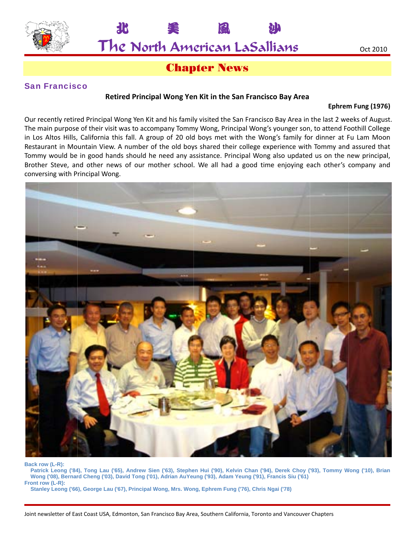

北

The North American LaSallians

# **Chapter News**

#### **San Francisco**

#### Retired Principal Wong Yen Kit in the San Francisco Bay Area

#### Ephrem Fung (1976)

Our recently retired Principal Wong Yen Kit and his family visited the San Francisco Bay Area in the last 2 weeks of August. The main purpose of their visit was to accompany Tommy Wong, Principal Wong's younger son, to attend Foothill College in Los Altos Hills, California this fall. A group of 20 old boys met with the Wong's family for dinner at Fu Lam Moon Restaurant in Mountain View. A number of the old boys shared their college experience with Tommy and assured that Tommy would be in good hands should he need any assistance. Principal Wong also updated us on the new principal, Brother Steve, and other news of our mother school. We all had a good time enjoying each other's company and conversing with Principal Wong.



Back row (L-R):

Patrick Leong ('84), Tong Lau ('65), Andrew Sien ('63), Stephen Hui ('90), Kelvin Chan ('94), Derek Choy ('93), Tommy Wong ('10), Brian Wong ('08), Bernard Cheng ('03), David Tong ('01), Adrian AuYeung ('93), Adam Yeung ('91), Francis Siu ('61) Front row (L-R):

Stanley Leong ('66), George Lau ('67), Principal Wong, Mrs. Wong, Ephrem Fung ('76), Chris Ngai ('78)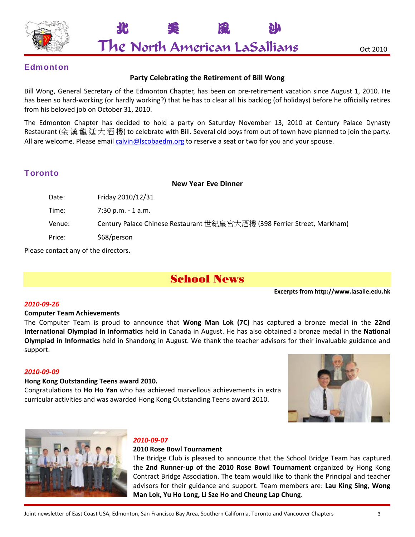

北 美 風 沙 The North American LaSallians oct 2010

### **Edmonton**

#### **Party Celebrating the Retirement of Bill Wong**

Bill Wong, General Secretary of the Edmonton Chapter, has been on pre‐retirement vacation since August 1, 2010. He has been so hard‐working (or hardly working?) that he has to clear all his backlog (of holidays) before he officially retires from his beloved job on October 31, 2010.

The Edmonton Chapter has decided to hold a party on Saturday November 13, 2010 at Century Palace Dynasty Restaurant (金 漢 龍 廷 大 酒 樓) to celebrate with Bill. Several old boys from out of town have planned to join the party. All are welcome. Please email calvin@lscobaedm.org to reserve a seat or two for you and your spouse.

### **Toronto**

#### **New Year Eve Dinner**

| Friday 2010/12/31                                                       |
|-------------------------------------------------------------------------|
| $7:30$ p.m. - 1 a.m.                                                    |
| Century Palace Chinese Restaurant 世紀皇宮大酒樓 (398 Ferrier Street, Markham) |
| \$68/person                                                             |
|                                                                         |

Please contact any of the directors.

# School News

**Excerpts from http://www.lasalle.edu.hk**

#### *2010‐09‐26*

#### **Computer Team Achievements**

The Computer Team is proud to announce that **Wong Man Lok (7C)** has captured a bronze medal in the **22nd International Olympiad in Informatics** held in Canada in August. He has also obtained a bronze medal in the **National Olympiad in Informatics** held in Shandong in August. We thank the teacher advisors for their invaluable guidance and support.

#### *2010‐09‐09*

#### **Hong Kong Outstanding Teens award 2010.**

Congratulations to **Ho Ho Yan** who has achieved marvellous achievements in extra curricular activities and was awarded Hong Kong Outstanding Teens award 2010.





#### *2010‐09‐07*

#### **2010 Rose Bowl Tournament**

The Bridge Club is pleased to announce that the School Bridge Team has captured the **2nd Runner‐up of the 2010 Rose Bowl Tournament** organized by Hong Kong Contract Bridge Association. The team would like to thank the Principal and teacher advisors for their guidance and support. Team members are: **Lau King Sing, Wong Man Lok, Yu Ho Long, Li Sze Ho and Cheung Lap Chung**.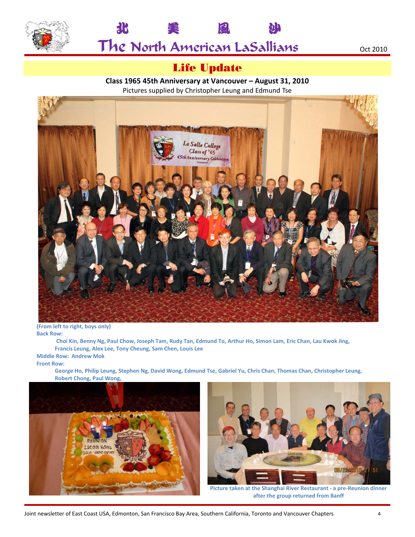



# Life Update

**Class 1965 45th Anniversary at Vancouver – August 31, 2010** Pictures supplied by Christopher Leung and Edmund Tse



**(From left to right, boys only) Back Row:**

Choi Kin, Benny Ng, Paul Chow, Joseph Tam, Rudy Tan, Edmund To, Arthur Ho, Simon Lam, Eric Chan, Lau Kwok Jing, **Francis Leung, Alex Lee, Tony Cheung, Sam Chen, Louis Lee Middle Row: Andrew Mok**

#### **Front Row:**

George Ho, Philip Leung, Stephen Ng, David Wong, Edmund Tse, Gabriel Yu, Chris Chan, Thomas Chan, Christopher Leung, **Robert Chong, Paul Wong,** 





**Picture taken at the Shanghai River Restaurant ‐ a pre‐Reunion dinner after the group returned from Banff**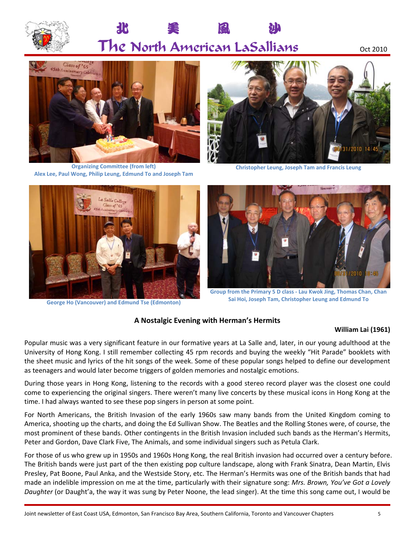

# The North American LaSallians oct 2010

北 美 風 沙



**Organizing Committee (from left) Alex Lee, Paul Wong, Philip Leung, Edmund To and Joseph Tam**



**Christopher Leung, Joseph Tam and Francis Leung**



**George Ho (Vancouver) and Edmund Tse (Edmonton)**



**Group from the Primary 5 D class ‐ Lau Kwok Jing, Thomas Chan, Chan Sai Hoi, Joseph Tam, Christopher Leung and Edmund To**

#### **A Nostalgic Evening with Herman's Hermits**

#### **William Lai (1961)**

Popular music was a very significant feature in our formative years at La Salle and, later, in our young adulthood at the University of Hong Kong. I still remember collecting 45 rpm records and buying the weekly "Hit Parade" booklets with the sheet music and lyrics of the hit songs of the week. Some of these popular songs helped to define our development as teenagers and would later become triggers of golden memories and nostalgic emotions.

During those years in Hong Kong, listening to the records with a good stereo record player was the closest one could come to experiencing the original singers. There weren't many live concerts by these musical icons in Hong Kong at the time. I had always wanted to see these pop singers in person at some point.

For North Americans, the British Invasion of the early 1960s saw many bands from the United Kingdom coming to America, shooting up the charts, and doing the Ed Sullivan Show. The Beatles and the Rolling Stones were, of course, the most prominent of these bands. Other contingents in the British Invasion included such bands as the Herman's Hermits, Peter and Gordon, Dave Clark Five, The Animals, and some individual singers such as Petula Clark.

For those of us who grew up in 1950s and 1960s Hong Kong, the real British invasion had occurred over a century before. The British bands were just part of the then existing pop culture landscape, along with Frank Sinatra, Dean Martin, Elvis Presley, Pat Boone, Paul Anka, and the Westside Story, etc. The Herman's Hermits was one of the British bands that had made an indelible impression on me at the time, particularly with their signature song: *Mrs. Brown, You've Got a Lovely Daughter* (or Daught'a, the way it was sung by Peter Noone, the lead singer). At the time this song came out, I would be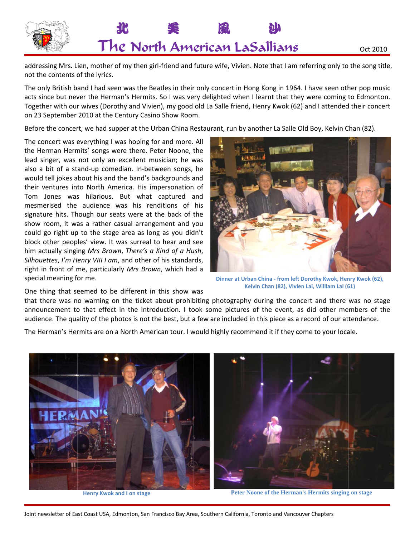

addressing Mrs. Lien, mother of my then girl-friend and future wife, Vivien. Note that I am referring only to the song title, not the contents of the lyrics.

The only British band I had seen was the Beatles in their only concert in Hong Kong in 1964. I have seen other pop music acts since but never the Herman's Hermits. So I was very delighted when I learnt that they were coming to Edmonton. Together with our wives (Dorothy and Vivien), my good old La Salle friend, Henry Kwok (62) and I attended their concert on 23 September 2010 at the Century Casino Show Room.

Before the concert, we had supper at the Urban China Restaurant, run by another La Salle Old Boy, Kelvin Chan (82).

The concert was everything I was hoping for and more. All the Herman Hermits' songs were there. Peter Noone, the lead singer, was not only an excellent musician; he was also a bit of a stand-up comedian. In-between songs, he would tell jokes about his and the band's backgrounds and their ventures into North America. His impersonation of Tom Jones was hilarious. But what captured and mesmerised the audience was his renditions of his signature hits. Though our seats were at the back of the show room, it was a rather casual arrangement and you could go right up to the stage area as long as you didn't block other peoples' view. It was surreal to hear and see him actually singing Mrs Brown, There's a Kind of a Hush, Silhouettes, I'm Henry VIII I am, and other of his standards, right in front of me, particularly Mrs Brown, which had a special meaning for me.



Oct 2010

Dinner at Urban China - from left Dorothy Kwok, Henry Kwok (62), Kelvin Chan (82), Vivien Lai, William Lai (61)

One thing that seemed to be different in this show was

that there was no warning on the ticket about prohibiting photography during the concert and there was no stage announcement to that effect in the introduction. I took some pictures of the event, as did other members of the audience. The quality of the photos is not the best, but a few are included in this piece as a record of our attendance.

The Herman's Hermits are on a North American tour. I would highly recommend it if they come to your locale.



**Henry Kwok and I on stage** 

Peter Noone of the Herman's Hermits singing on stage

Joint newsletter of East Coast USA, Edmonton, San Francisco Bay Area, Southern California, Toronto and Vancouver Chapters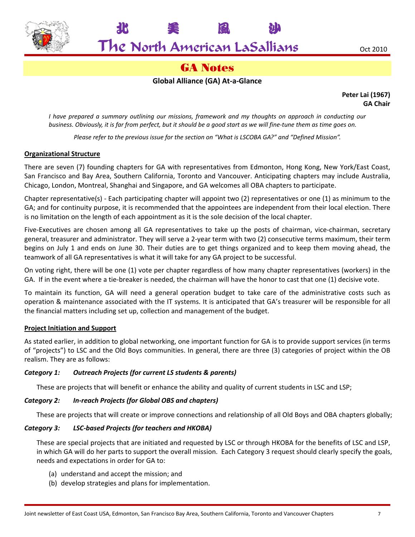

# The North American LaSallians oct 2010

北 美 風 沙

# GA Notes

#### **Global Alliance (GA) At‐a‐Glance**

**Peter Lai (1967) GA Chair**

*I have prepared a summary outlining our missions, framework and my thoughts on approach in conducting our* business. Obviously, it is far from perfect, but it should be a good start as we will fine-tune them as time goes on.

*Please refer to the previous issue for the section on "What is LSCOBA GA?" and "Defined Mission".*

#### **Organizational Structure**

There are seven (7) founding chapters for GA with representatives from Edmonton, Hong Kong, New York/East Coast, San Francisco and Bay Area, Southern California, Toronto and Vancouver. Anticipating chapters may include Australia, Chicago, London, Montreal, Shanghai and Singapore, and GA welcomes all OBA chapters to participate.

Chapter representative(s) ‐ Each participating chapter will appoint two (2) representatives or one (1) as minimum to the GA; and for continuity purpose, it is recommended that the appointees are independent from their local election. There is no limitation on the length of each appointment as it is the sole decision of the local chapter.

Five-Executives are chosen among all GA representatives to take up the posts of chairman, vice-chairman, secretary general, treasurer and administrator. They will serve a 2‐year term with two (2) consecutive terms maximum, their term begins on July 1 and ends on June 30. Their duties are to get things organized and to keep them moving ahead, the teamwork of all GA representatives is what it will take for any GA project to be successful.

On voting right, there will be one (1) vote per chapter regardless of how many chapter representatives (workers) in the GA. If in the event where a tie-breaker is needed, the chairman will have the honor to cast that one (1) decisive vote.

To maintain its function, GA will need a general operation budget to take care of the administrative costs such as operation & maintenance associated with the IT systems. It is anticipated that GA's treasurer will be responsible for all the financial matters including set up, collection and management of the budget.

#### **Project Initiation and Support**

As stated earlier, in addition to global networking, one important function for GA is to provide support services (in terms of "projects") to LSC and the Old Boys communities. In general, there are three (3) categories of project within the OB realism. They are as follows:

#### *Category 1: Outreach Projects (for current LS students & parents)*

These are projects that will benefit or enhance the ability and quality of current students in LSC and LSP;

#### *Category 2: In‐reach Projects (for Global OBS and chapters)*

These are projects that will create or improve connections and relationship of all Old Boys and OBA chapters globally;

#### *Category 3: LSC‐based Projects (for teachers and HKOBA)*

These are special projects that are initiated and requested by LSC or through HKOBA for the benefits of LSC and LSP, in which GA will do her parts to support the overall mission. Each Category 3 request should clearly specify the goals, needs and expectations in order for GA to:

- (a) understand and accept the mission; and
- (b) develop strategies and plans for implementation.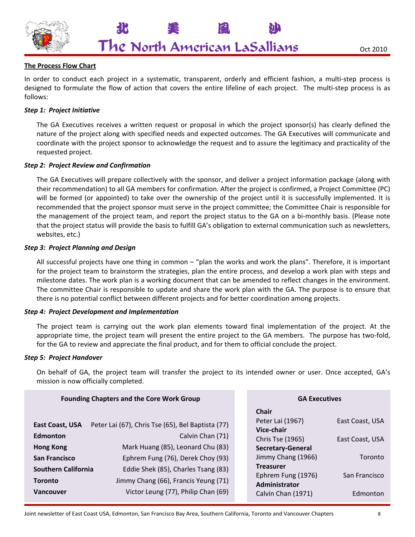

北 美 風 沙

#### **The Process Flow Chart**

In order to conduct each project in a systematic, transparent, orderly and efficient fashion, a multi-step process is designed to formulate the flow of action that covers the entire lifeline of each project. The multi‐step process is as follows:

#### *Step 1: Project Initiative*

The GA Executives receives a written request or proposal in which the project sponsor(s) has clearly defined the nature of the project along with specified needs and expected outcomes. The GA Executives will communicate and coordinate with the project sponsor to acknowledge the request and to assure the legitimacy and practicality of the requested project.

#### *Step 2: Project Review and Confirmation*

The GA Executives will prepare collectively with the sponsor, and deliver a project information package (along with their recommendation) to all GA members for confirmation. After the project is confirmed, a Project Committee (PC) will be formed (or appointed) to take over the ownership of the project until it is successfully implemented. It is recommended that the project sponsor must serve in the project committee; the Committee Chair is responsible for the management of the project team, and report the project status to the GA on a bi-monthly basis. (Please note that the project status will provide the basis to fulfill GA's obligation to external communication such as newsletters, websites, etc.)

#### *Step 3: Project Planning and Design*

All successful projects have one thing in common – "plan the works and work the plans". Therefore, it is important for the project team to brainstorm the strategies, plan the entire process, and develop a work plan with steps and milestone dates. The work plan is a working document that can be amended to reflect changes in the environment. The committee Chair is responsible to update and share the work plan with the GA. The purpose is to ensure that there is no potential conflict between different projects and for better coordination among projects.

#### *Step 4: Project Development and Implementation*

The project team is carrying out the work plan elements toward final implementation of the project. At the appropriate time, the project team will present the entire project to the GA members. The purpose has two-fold, for the GA to review and appreciate the final product, and for them to official conclude the project.

#### *Step 5: Project Handover*

On behalf of GA, the project team will transfer the project to its intended owner or user. Once accepted, GA's mission is now officially completed.

| <b>Founding Chapters and the Core Work Group</b>                                                                                      |                                                                                                                                                                                                                                | <b>GA Executives</b>                                                                                                                                                            |                                                                |
|---------------------------------------------------------------------------------------------------------------------------------------|--------------------------------------------------------------------------------------------------------------------------------------------------------------------------------------------------------------------------------|---------------------------------------------------------------------------------------------------------------------------------------------------------------------------------|----------------------------------------------------------------|
| <b>East Coast, USA</b><br><b>Edmonton</b><br><b>Hong Kong</b><br><b>San Francisco</b><br><b>Southern California</b><br><b>Toronto</b> | Peter Lai (67), Chris Tse (65), Bel Baptista (77)<br>Calvin Chan (71)<br>Mark Huang (85), Leonard Chu (83)<br>Ephrem Fung (76), Derek Choy (93)<br>Eddie Shek (85), Charles Tsang (83)<br>Jimmy Chang (66), Francis Yeung (71) | <b>Chair</b><br>Peter Lai (1967)<br>Vice-chair<br>Chris Tse (1965)<br><b>Secretary-General</b><br>Jimmy Chang (1966)<br><b>Treasurer</b><br>Ephrem Fung (1976)<br>Administrator | East Coast, USA<br>East Coast, USA<br>Toronto<br>San Francisco |
| <b>Vancouver</b>                                                                                                                      | Victor Leung (77), Philip Chan (69)                                                                                                                                                                                            | Calvin Chan (1971)                                                                                                                                                              | Edmonton                                                       |